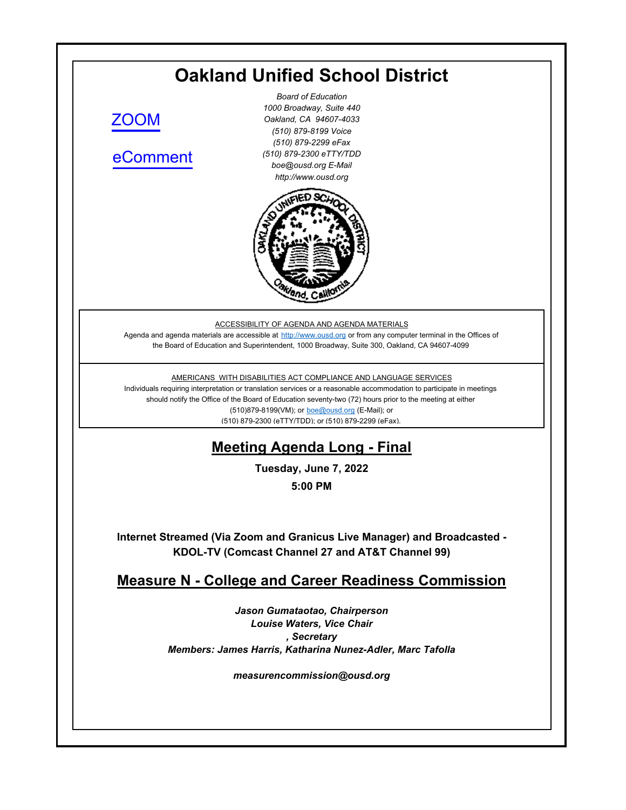# **Oakland Unified School District**

[ZOOM](https://ousd.zoom.us/j/84600260747)

[eComment](https://ousd.granicusideas.com/meetings/2345-measure-n-college-and-career-readiness-commission-on-2022-06-07-5-00-pm)

*Board of Education 1000 Broadway, Suite 440 Oakland, CA 94607-4033 (510) 879-8199 Voice (510) 879-2299 eFax (510) 879-2300 eTTY/TDD boe@ousd.org E-Mail http://www.ousd.org*



ACCESSIBILITY OF AGENDA AND AGENDA MATERIALS

Agenda and agenda materials are accessible at http://www.ousd.org or from any computer terminal in the Offices of the Board of Education and Superintendent, 1000 Broadway, Suite 300, Oakland, CA 94607-4099

AMERICANS WITH DISABILITIES ACT COMPLIANCE AND LANGUAGE SERVICES

Individuals requiring interpretation or translation services or a reasonable accommodation to participate in meetings should notify the Office of the Board of Education seventy-two (72) hours prior to the meeting at either (510)879-8199(VM); or boe@ousd.org (E-Mail); or (510) 879-2300 (eTTY/TDD); or (510) 879-2299 (eFax).

## **Meeting Agenda Long - Final**

**Tuesday, June 7, 2022**

**5:00 PM**

**Internet Streamed (Via Zoom and Granicus Live Manager) and Broadcasted - KDOL-TV (Comcast Channel 27 and AT&T Channel 99)**

## **Measure N - College and Career Readiness Commission**

*Jason Gumataotao, Chairperson Louise Waters, Vice Chair , Secretary Members: James Harris, Katharina Nunez-Adler, Marc Tafolla*

*measurencommission@ousd.org*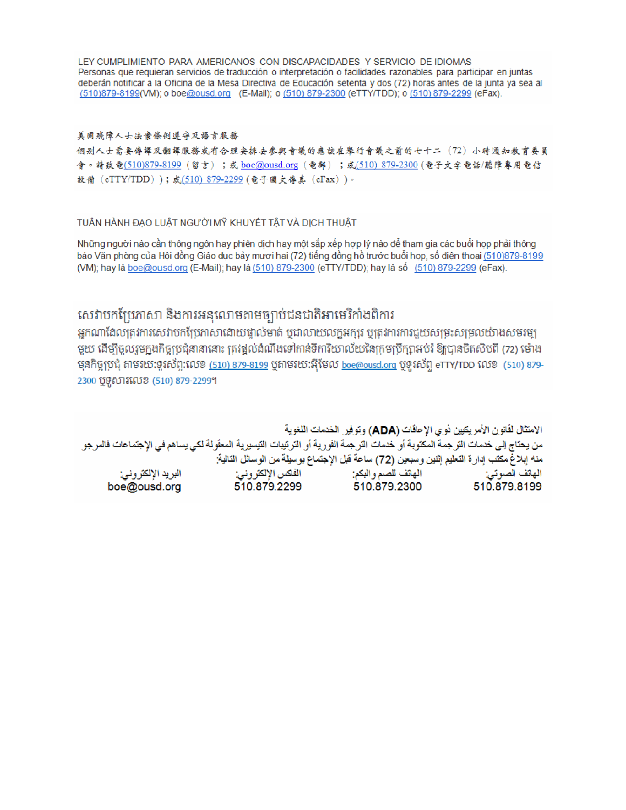LEY CUMPLIMIENTO PARA AMERICANOS CON DISCAPACIDADES Y SERVICIO DE IDIOMAS Personas que requieran servicios de traducción o interpretación o facilidades razonables para participar en juntas deberán notificar a la Oficina de la Mesa Directiva de Educación setenta y dos (72) horas antes de la junta ya sea al (510)879-8199(VM); o boe@ousd.org (E-Mail); o (510) 879-2300 (eTTY/TDD); o (510) 879-2299 (eFax).

#### 美国残障人士法案條例遵守及語言服務

個别人士需要傳譯及翻譯服務或有合理安排去參與會議的應該在舉行會議之前的七十二(72)小時通知教育委員 會。請致電(510)879-8199(留言);或 boe@ousd.org (電郵) ;或(510) 879-2300 (電子文字電話/聽障專用電信 設備 (eTTY/TDD));或(510) 879-2299 (電子圖文傳真 (eFax))。

#### TUẦN HÀNH ĐẠO LUẬT NGƯỜI MỸ KHUYẾT TẤT VÀ DỊCH THUẬT

Những người nào cần thông ngôn hay phiên dịch hay một sắp xếp hợp lý nào để tham gia các buổi họp phải thông báo Văn phòng của Hội đồng Giáo dục bảy mươi hai (72) tiếng đồng hồ trước buổi họp, số điện thoại (510)879-8199 (VM); hay là boe@ousd.org (E-Mail); hay là (510) 879-2300 (eTTY/TDD); hay là số (510) 879-2299 (eFax).

## សេវាបកប្រែភាសា និងការអនុលោមតាមច្បាប់ជនជាតិអាមេរិកាំងពិការ

អកណាដែលត្រូវការសេវាបកប្រែភាសាដោយផ្ទាល់មាត់ ឬជាលាយលក្ខអក្សរ ឬត្រូវការការជួយសម្រះសម្រលយ៉ាងសមរម្យ មួយ ដើម្បីចូលរួមក្នុងកិច្ចប្រជុំនានានោះ ត្រវង្គល់ដំណឹងទៅកាន់ទីការិយាល័យនៃក្រមប្រឹក្សាអប់រំ ឱ្យបានចិតសិបពី (72) ម៉ោង មុនកិច្ចប្រជុំ តាមរយៈទូរស័ព្ទ:លេខ <u>(510) 879-8199</u> បុតាមរយៈអ៊ីមែល <u>boe@ousd.org</u> បុទូរស័ព្ទ eTTY/TDD លេខ (510) 879-2300 ប៊ូទូសារលេខ (510) 879-2299។

الامتثال لقانون الأمريكيين نو ي الإحاقات (ADA) وتوفير الخدمات اللغوية من يحتاج إلى خدمات الترجمة المكتوبة أو خدمات الترجمة الفورية أو الترتيبات التيسيرية المعفّولة لكي يساهم في الإجتماعات فالمرجو منه إبلاغ مكتب إدارة التعليم إثنين وسبعين (72) ساعة قبل الإجتماع بوسيلة من الوسائل التالية: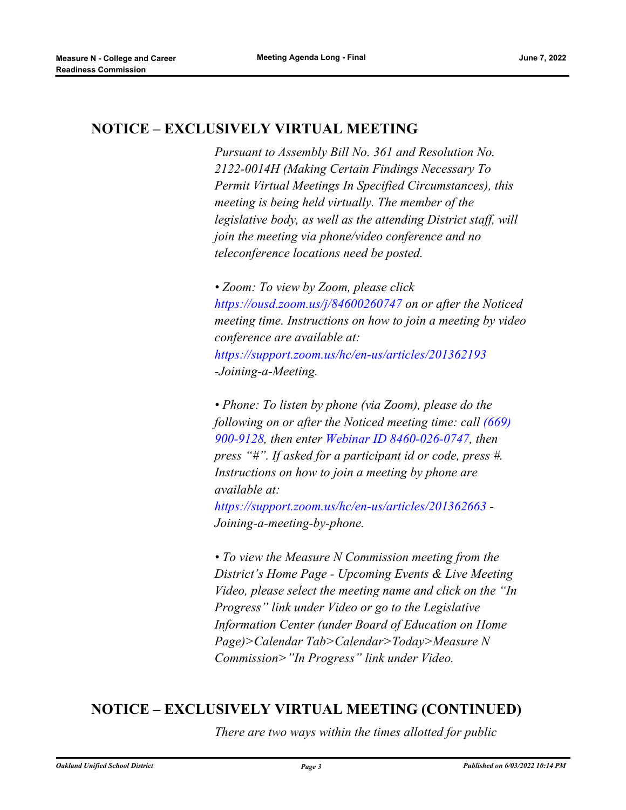## **NOTICE – EXCLUSIVELY VIRTUAL MEETING**

*Pursuant to Assembly Bill No. 361 and Resolution No. 2122-0014H (Making Certain Findings Necessary To Permit Virtual Meetings In Specified Circumstances), this meeting is being held virtually. The member of the legislative body, as well as the attending District staff, will join the meeting via phone/video conference and no teleconference locations need be posted.* 

*• Zoom: To view by Zoom, please click https://ousd.zoom.us/j/84600260747 on or after the Noticed meeting time. Instructions on how to join a meeting by video conference are available at: https://support.zoom.us/hc/en-us/articles/201362193 -Joining-a-Meeting.*

*• Phone: To listen by phone (via Zoom), please do the following on or after the Noticed meeting time: call (669) 900-9128, then enter Webinar ID 8460-026-0747, then press "#". If asked for a participant id or code, press #. Instructions on how to join a meeting by phone are available at:*

*https://support.zoom.us/hc/en-us/articles/201362663 - Joining-a-meeting-by-phone.*

*• To view the Measure N Commission meeting from the District's Home Page - Upcoming Events & Live Meeting Video, please select the meeting name and click on the "In Progress" link under Video or go to the Legislative Information Center (under Board of Education on Home Page)>Calendar Tab>Calendar>Today>Measure N Commission>"In Progress" link under Video.*

## **NOTICE – EXCLUSIVELY VIRTUAL MEETING (CONTINUED)**

*There are two ways within the times allotted for public*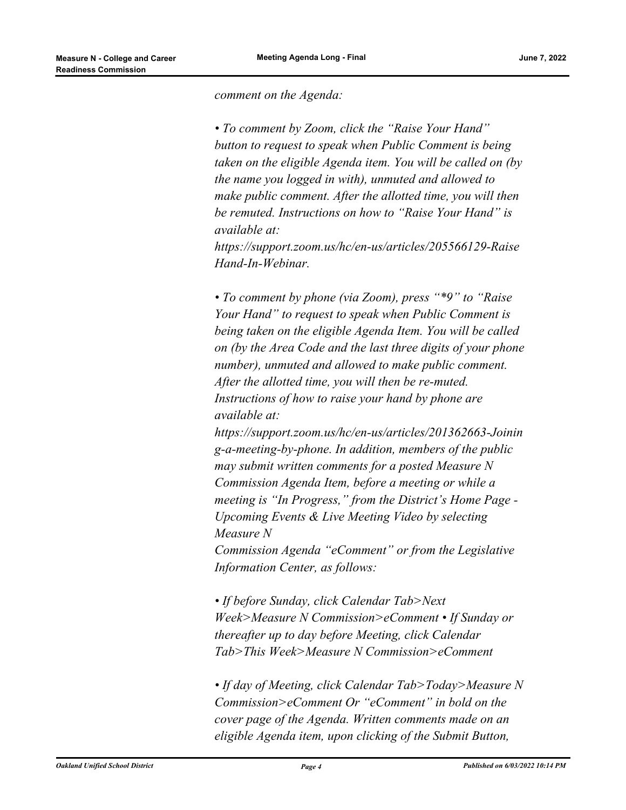*comment on the Agenda:* 

*• To comment by Zoom, click the "Raise Your Hand" button to request to speak when Public Comment is being taken on the eligible Agenda item. You will be called on (by the name you logged in with), unmuted and allowed to make public comment. After the allotted time, you will then be remuted. Instructions on how to "Raise Your Hand" is available at:*

*https://support.zoom.us/hc/en-us/articles/205566129-Raise Hand-In-Webinar.*

*• To comment by phone (via Zoom), press "\*9" to "Raise Your Hand" to request to speak when Public Comment is being taken on the eligible Agenda Item. You will be called on (by the Area Code and the last three digits of your phone number), unmuted and allowed to make public comment. After the allotted time, you will then be re-muted. Instructions of how to raise your hand by phone are available at:*

*https://support.zoom.us/hc/en-us/articles/201362663-Joinin g-a-meeting-by-phone. In addition, members of the public may submit written comments for a posted Measure N Commission Agenda Item, before a meeting or while a meeting is "In Progress," from the District's Home Page - Upcoming Events & Live Meeting Video by selecting Measure N*

*Commission Agenda "eComment" or from the Legislative Information Center, as follows:*

*• If before Sunday, click Calendar Tab>Next Week>Measure N Commission>eComment • If Sunday or thereafter up to day before Meeting, click Calendar Tab>This Week>Measure N Commission>eComment*

*• If day of Meeting, click Calendar Tab>Today>Measure N Commission>eComment Or "eComment" in bold on the cover page of the Agenda. Written comments made on an eligible Agenda item, upon clicking of the Submit Button,*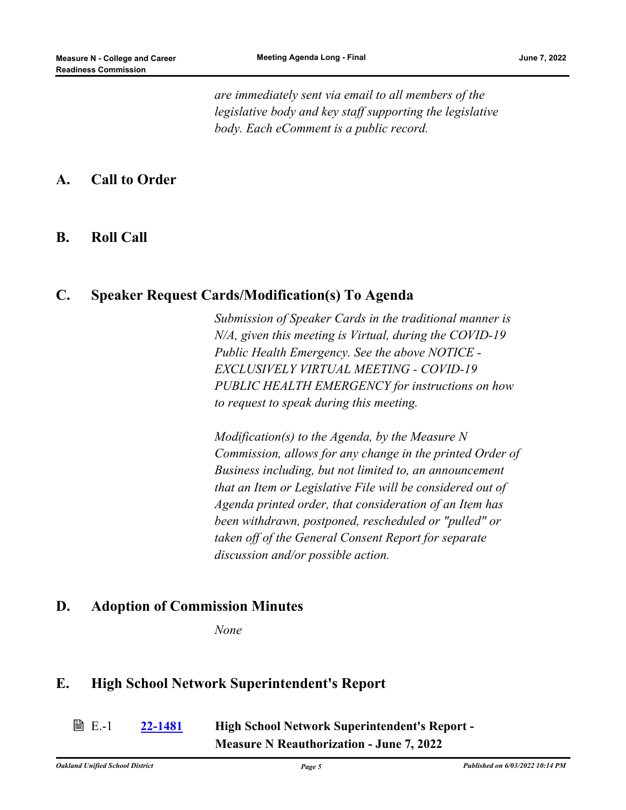*are immediately sent via email to all members of the legislative body and key staff supporting the legislative body. Each eComment is a public record.*

#### **A. Call to Order**

#### **B. Roll Call**

#### **C. Speaker Request Cards/Modification(s) To Agenda**

*Submission of Speaker Cards in the traditional manner is N/A, given this meeting is Virtual, during the COVID-19 Public Health Emergency. See the above NOTICE - EXCLUSIVELY VIRTUAL MEETING - COVID-19 PUBLIC HEALTH EMERGENCY for instructions on how to request to speak during this meeting.*

*Modification(s) to the Agenda, by the Measure N Commission, allows for any change in the printed Order of Business including, but not limited to, an announcement that an Item or Legislative File will be considered out of Agenda printed order, that consideration of an Item has been withdrawn, postponed, rescheduled or "pulled" or taken off of the General Consent Report for separate discussion and/or possible action.*

#### **D. Adoption of Commission Minutes**

*None*

#### **E. High School Network Superintendent's Report**

**■ E.-1** 

**[22-1481](http://ousd.legistar.com/gateway.aspx?m=l&id=/matter.aspx?key=55775) High School Network Superintendent's Report - Measure N Reauthorization - June 7, 2022**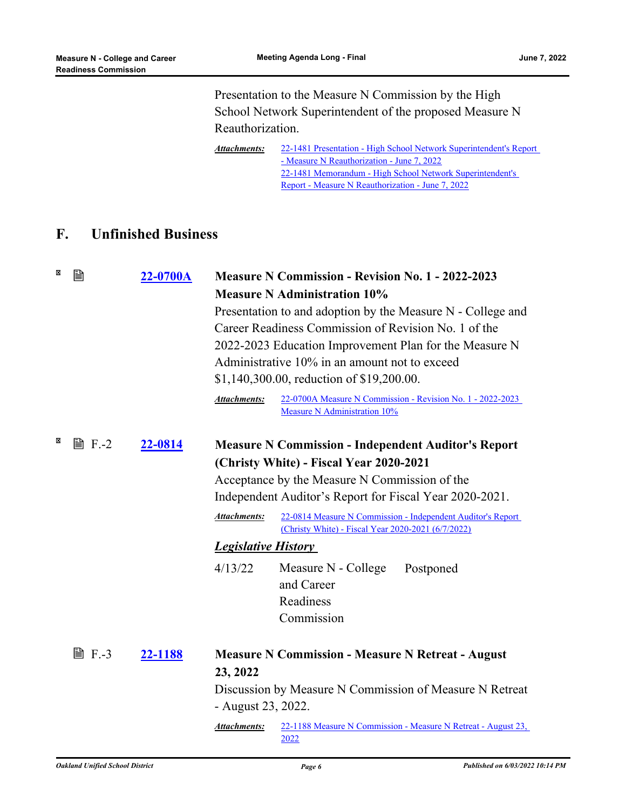Presentation to the Measure N Commission by the High School Network Superintendent of the proposed Measure N Reauthorization.

[22-1481 Presentation - High School Network Superintendent's Report](http://ousd.legistar.com/gateway.aspx?M=F&ID=104702.pptx) - Measure N Reauthorization - June 7, 2022 [22-1481 Memorandum - High School Network Superintendent's](http://ousd.legistar.com/gateway.aspx?M=F&ID=104737.pdf) Report - Measure N Reauthorization - June 7, 2022 *Attachments:*

## **F. Unfinished Business**

| × | 剾              | 22-0700A | <b>Measure N Commission - Revision No. 1 - 2022-2023</b><br><b>Measure N Administration 10%</b><br>Presentation to and adoption by the Measure N - College and<br>Career Readiness Commission of Revision No. 1 of the<br>2022-2023 Education Improvement Plan for the Measure N<br>Administrative 10% in an amount not to exceed<br>\$1,140,300.00, reduction of \$19,200.00. |                                                                                                                                                                                              |
|---|----------------|----------|--------------------------------------------------------------------------------------------------------------------------------------------------------------------------------------------------------------------------------------------------------------------------------------------------------------------------------------------------------------------------------|----------------------------------------------------------------------------------------------------------------------------------------------------------------------------------------------|
|   |                |          | Attachments:                                                                                                                                                                                                                                                                                                                                                                   | 22-0700A Measure N Commission - Revision No. 1 - 2022-2023<br>Measure N Administration 10%                                                                                                   |
| × | $\exists$ F.-2 | 22-0814  |                                                                                                                                                                                                                                                                                                                                                                                | <b>Measure N Commission - Independent Auditor's Report</b><br>(Christy White) - Fiscal Year 2020-2021<br>Acceptance by the Measure N Commission of the                                       |
|   |                |          |                                                                                                                                                                                                                                                                                                                                                                                | Independent Auditor's Report for Fiscal Year 2020-2021.                                                                                                                                      |
|   |                |          | <b>Attachments:</b>                                                                                                                                                                                                                                                                                                                                                            | 22-0814 Measure N Commission - Independent Auditor's Report<br>(Christy White) - Fiscal Year 2020-2021 (6/7/2022)                                                                            |
|   |                |          | <b>Legislative History</b>                                                                                                                                                                                                                                                                                                                                                     |                                                                                                                                                                                              |
|   |                |          | 4/13/22                                                                                                                                                                                                                                                                                                                                                                        | Measure N - College<br>Postponed<br>and Career<br>Readiness<br>Commission                                                                                                                    |
|   | <b>■ F.-3</b>  | 22-1188  | 23, 2022<br>- August 23, 2022.<br>Attachments:                                                                                                                                                                                                                                                                                                                                 | <b>Measure N Commission - Measure N Retreat - August</b><br>Discussion by Measure N Commission of Measure N Retreat<br>22-1188 Measure N Commission - Measure N Retreat - August 23,<br>2022 |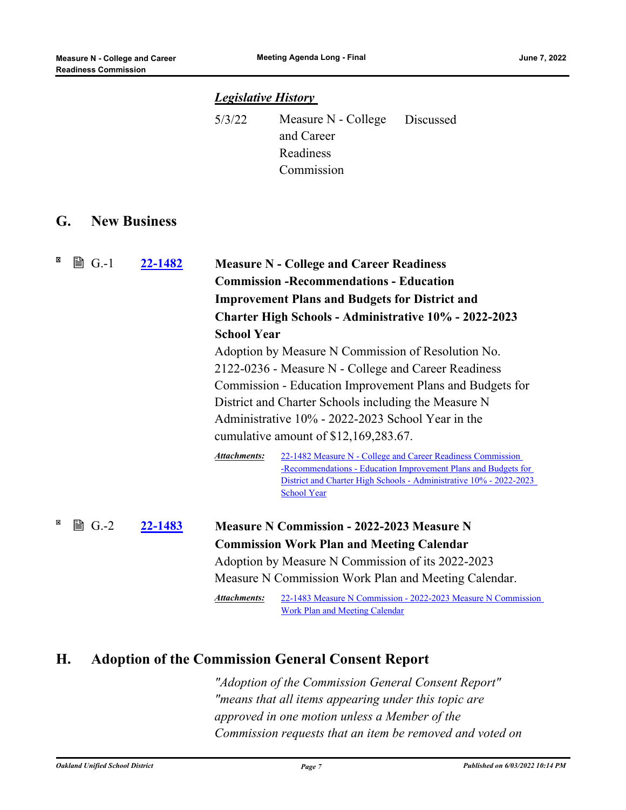#### *Legislative History*

| 5/3/22 | Measure N - College Discussed |  |
|--------|-------------------------------|--|
|        | and Career                    |  |
|        | Readiness                     |  |
|        | Commission                    |  |

#### **G. New Business**

| × | $\mathbb{B}$ G.-1 | 22-1482 | <b>School Year</b>  | <b>Measure N - College and Career Readiness</b><br><b>Commission - Recommendations - Education</b><br><b>Improvement Plans and Budgets for District and</b><br><b>Charter High Schools - Administrative 10% - 2022-2023</b><br>Adoption by Measure N Commission of Resolution No.<br>2122-0236 - Measure N - College and Career Readiness<br>Commission - Education Improvement Plans and Budgets for<br>District and Charter Schools including the Measure N<br>Administrative 10% - 2022-2023 School Year in the<br>cumulative amount of \$12,169,283.67. |
|---|-------------------|---------|---------------------|-------------------------------------------------------------------------------------------------------------------------------------------------------------------------------------------------------------------------------------------------------------------------------------------------------------------------------------------------------------------------------------------------------------------------------------------------------------------------------------------------------------------------------------------------------------|
|   |                   |         | <b>Attachments:</b> | 22-1482 Measure N - College and Career Readiness Commission<br>-Recommendations - Education Improvement Plans and Budgets for<br>District and Charter High Schools - Administrative 10% - 2022-2023<br><b>School Year</b>                                                                                                                                                                                                                                                                                                                                   |
| × | 圖 $G.-2$          | 22-1483 | Attachments:        | <b>Measure N Commission - 2022-2023 Measure N</b><br><b>Commission Work Plan and Meeting Calendar</b><br>Adoption by Measure N Commission of its 2022-2023<br>Measure N Commission Work Plan and Meeting Calendar.<br>22-1483 Measure N Commission - 2022-2023 Measure N Commission<br><b>Work Plan and Meeting Calendar</b>                                                                                                                                                                                                                                |

## **H. Adoption of the Commission General Consent Report**

*"Adoption of the Commission General Consent Report" "means that all items appearing under this topic are approved in one motion unless a Member of the Commission requests that an item be removed and voted on*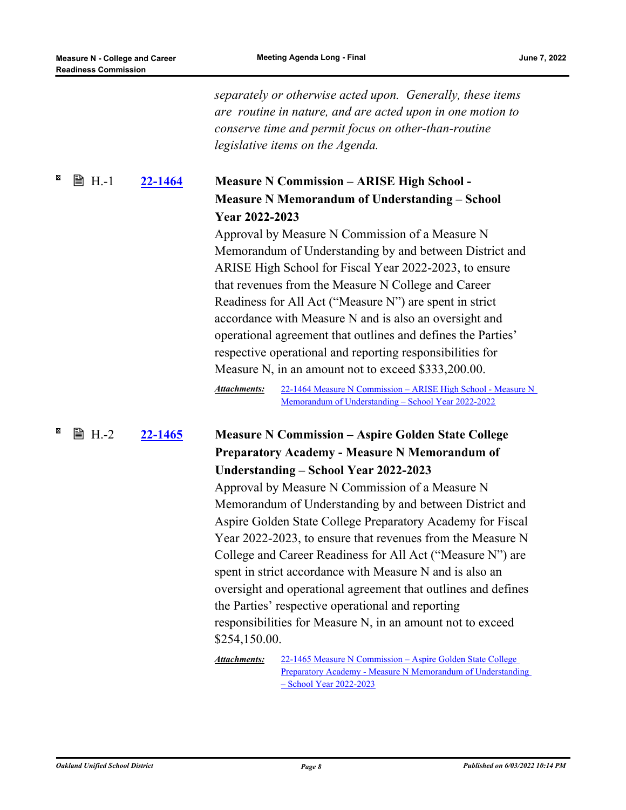|   |               |                | separately or otherwise acted upon. Generally, these items<br>are routine in nature, and are acted upon in one motion to<br>conserve time and permit focus on other-than-routine<br>legislative items on the Agenda.                                                                                                                                                                                                                                                                                                                                                                                                                                                                                                                                                                                               |
|---|---------------|----------------|--------------------------------------------------------------------------------------------------------------------------------------------------------------------------------------------------------------------------------------------------------------------------------------------------------------------------------------------------------------------------------------------------------------------------------------------------------------------------------------------------------------------------------------------------------------------------------------------------------------------------------------------------------------------------------------------------------------------------------------------------------------------------------------------------------------------|
| × | <b>■ H.-1</b> | <u>22-1464</u> | <b>Measure N Commission - ARISE High School -</b><br><b>Measure N Memorandum of Understanding - School</b><br>Year 2022-2023<br>Approval by Measure N Commission of a Measure N<br>Memorandum of Understanding by and between District and<br>ARISE High School for Fiscal Year 2022-2023, to ensure<br>that revenues from the Measure N College and Career<br>Readiness for All Act ("Measure N") are spent in strict<br>accordance with Measure N and is also an oversight and<br>operational agreement that outlines and defines the Parties'<br>respective operational and reporting responsibilities for<br>Measure N, in an amount not to exceed \$333,200.00.<br><b>Attachments:</b><br>22-1464 Measure N Commission - ARISE High School - Measure N<br>Memorandum of Understanding - School Year 2022-2022 |
| × | <b>■ H.-2</b> | 22-1465        | <b>Measure N Commission - Aspire Golden State College</b><br><b>Preparatory Academy - Measure N Memorandum of</b><br>Understanding - School Year 2022-2023<br>Approval by Measure N Commission of a Measure N<br>Memorandum of Understanding by and between District and<br>Aspire Golden State College Preparatory Academy for Fiscal<br>Year 2022-2023, to ensure that revenues from the Measure N<br>College and Career Readiness for All Act ("Measure N") are<br>spent in strict accordance with Measure N and is also an<br>oversight and operational agreement that outlines and defines<br>the Parties' respective operational and reporting<br>responsibilities for Measure N, in an amount not to exceed<br>\$254,150.00.                                                                                |

22-1465 Measure N Commission – Aspire Golden State College [Preparatory Academy - Measure N Memorandum of Understanding](http://ousd.legistar.com/gateway.aspx?M=F&ID=104687.pdf)  – School Year 2022-2023 *Attachments:*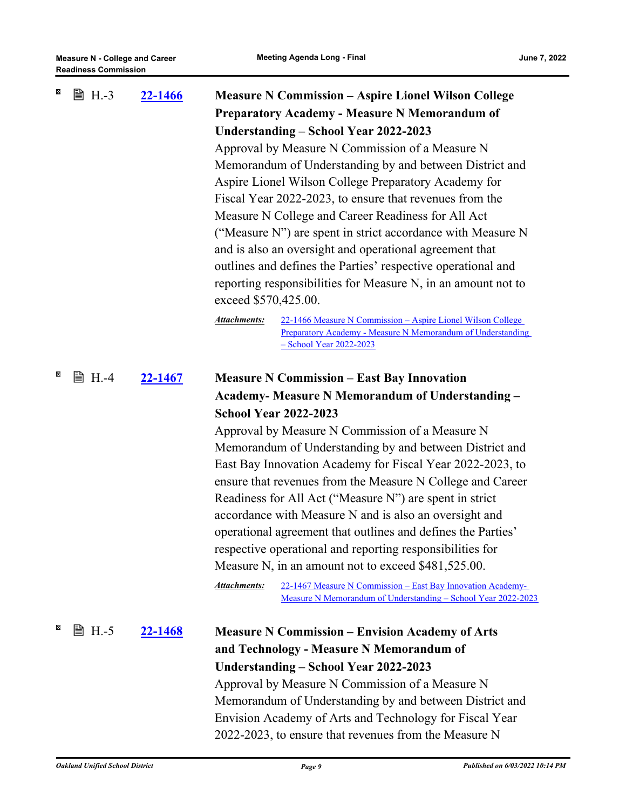| × | <b>■ H.-3</b> | 22-1466        | <b>Measure N Commission – Aspire Lionel Wilson College</b><br><b>Preparatory Academy - Measure N Memorandum of</b><br>Understanding - School Year 2022-2023<br>Approval by Measure N Commission of a Measure N<br>Memorandum of Understanding by and between District and<br>Aspire Lionel Wilson College Preparatory Academy for<br>Fiscal Year 2022-2023, to ensure that revenues from the<br>Measure N College and Career Readiness for All Act<br>("Measure N") are spent in strict accordance with Measure N<br>and is also an oversight and operational agreement that<br>outlines and defines the Parties' respective operational and<br>reporting responsibilities for Measure N, in an amount not to                                                                                                                                         |  |
|---|---------------|----------------|-------------------------------------------------------------------------------------------------------------------------------------------------------------------------------------------------------------------------------------------------------------------------------------------------------------------------------------------------------------------------------------------------------------------------------------------------------------------------------------------------------------------------------------------------------------------------------------------------------------------------------------------------------------------------------------------------------------------------------------------------------------------------------------------------------------------------------------------------------|--|
|   |               |                | exceed \$570,425.00.<br><b>Attachments:</b><br>22-1466 Measure N Commission - Aspire Lionel Wilson College                                                                                                                                                                                                                                                                                                                                                                                                                                                                                                                                                                                                                                                                                                                                            |  |
|   |               |                | Preparatory Academy - Measure N Memorandum of Understanding<br>- School Year 2022-2023                                                                                                                                                                                                                                                                                                                                                                                                                                                                                                                                                                                                                                                                                                                                                                |  |
| × | ■ H.-4        | <u>22-1467</u> | <b>Measure N Commission – East Bay Innovation</b><br><b>Academy- Measure N Memorandum of Understanding -</b><br><b>School Year 2022-2023</b><br>Approval by Measure N Commission of a Measure N<br>Memorandum of Understanding by and between District and<br>East Bay Innovation Academy for Fiscal Year 2022-2023, to<br>ensure that revenues from the Measure N College and Career<br>Readiness for All Act ("Measure N") are spent in strict<br>accordance with Measure N and is also an oversight and<br>operational agreement that outlines and defines the Parties'<br>respective operational and reporting responsibilities for<br>Measure N, in an amount not to exceed \$481,525.00.<br><b>Attachments:</b><br>22-1467 Measure N Commission - East Bay Innovation Academy-<br>Measure N Memorandum of Understanding – School Year 2022-2023 |  |
| × | <b>■ H.-5</b> | <u>22-1468</u> | <b>Measure N Commission – Envision Academy of Arts</b><br>and Technology - Measure N Memorandum of<br>Understanding - School Year 2022-2023<br>Approval by Measure N Commission of a Measure N<br>Memorandum of Understanding by and between District and<br>Envision Academy of Arts and Technology for Fiscal Year<br>2022-2023, to ensure that revenues from the Measure N                                                                                                                                                                                                                                                                                                                                                                                                                                                                         |  |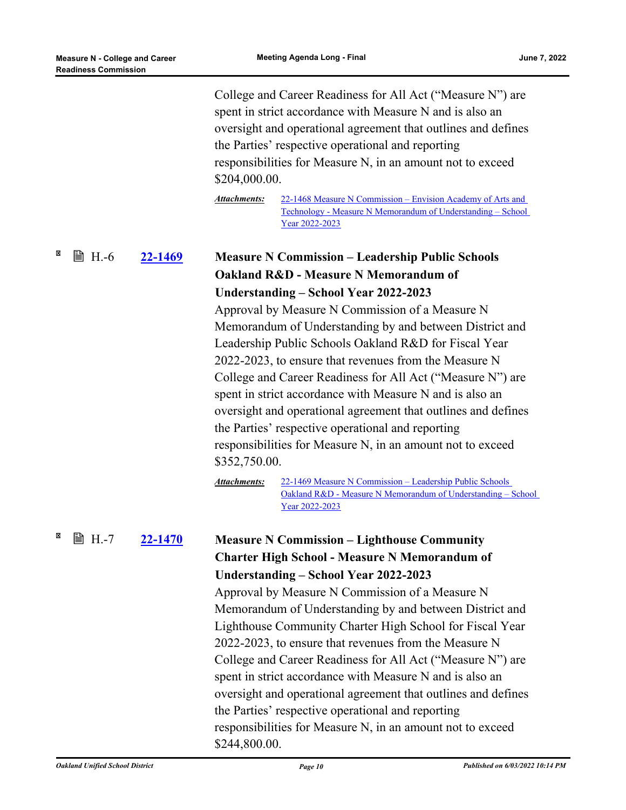$\boxtimes$ 

 $\overline{\mathbf{x}}$ 

|               |                | \$204,000.00.<br><b>Attachments:</b> | College and Career Readiness for All Act ("Measure N") are<br>spent in strict accordance with Measure N and is also an<br>oversight and operational agreement that outlines and defines<br>the Parties' respective operational and reporting<br>responsibilities for Measure N, in an amount not to exceed<br>22-1468 Measure N Commission – Envision Academy of Arts and                                                                                                                                                                  |
|---------------|----------------|--------------------------------------|--------------------------------------------------------------------------------------------------------------------------------------------------------------------------------------------------------------------------------------------------------------------------------------------------------------------------------------------------------------------------------------------------------------------------------------------------------------------------------------------------------------------------------------------|
|               |                |                                      | Technology - Measure N Memorandum of Understanding - School<br>Year 2022-2023                                                                                                                                                                                                                                                                                                                                                                                                                                                              |
| <b>■ H.-6</b> | <u>22-1469</u> |                                      | <b>Measure N Commission – Leadership Public Schools</b><br>Oakland R&D - Measure N Memorandum of                                                                                                                                                                                                                                                                                                                                                                                                                                           |
|               |                |                                      | Understanding – School Year 2022-2023                                                                                                                                                                                                                                                                                                                                                                                                                                                                                                      |
|               |                | \$352,750.00.                        | Approval by Measure N Commission of a Measure N<br>Memorandum of Understanding by and between District and<br>Leadership Public Schools Oakland R&D for Fiscal Year<br>2022-2023, to ensure that revenues from the Measure N<br>College and Career Readiness for All Act ("Measure N") are<br>spent in strict accordance with Measure N and is also an<br>oversight and operational agreement that outlines and defines<br>the Parties' respective operational and reporting<br>responsibilities for Measure N, in an amount not to exceed |
|               |                | <b>Attachments:</b>                  | 22-1469 Measure N Commission - Leadership Public Schools<br>Oakland R&D - Measure N Memorandum of Understanding - School<br>Year 2022-2023                                                                                                                                                                                                                                                                                                                                                                                                 |
| ■ H.-7        | <u>22-1470</u> |                                      | <b>Measure N Commission – Lighthouse Community</b>                                                                                                                                                                                                                                                                                                                                                                                                                                                                                         |
|               |                |                                      | <b>Charter High School - Measure N Memorandum of</b>                                                                                                                                                                                                                                                                                                                                                                                                                                                                                       |
|               |                |                                      | Understanding - School Year 2022-2023                                                                                                                                                                                                                                                                                                                                                                                                                                                                                                      |
|               |                |                                      | Approval by Measure N Commission of a Measure N                                                                                                                                                                                                                                                                                                                                                                                                                                                                                            |
|               |                |                                      | Memorandum of Understanding by and between District and                                                                                                                                                                                                                                                                                                                                                                                                                                                                                    |
|               |                |                                      | Lighthouse Community Charter High School for Fiscal Year                                                                                                                                                                                                                                                                                                                                                                                                                                                                                   |
|               |                |                                      | 2022-2023, to ensure that revenues from the Measure N<br>College and Career Readiness for All Act ("Measure N") are                                                                                                                                                                                                                                                                                                                                                                                                                        |
|               |                |                                      | spent in strict accordance with Measure N and is also an                                                                                                                                                                                                                                                                                                                                                                                                                                                                                   |
|               |                |                                      | oversight and operational agreement that outlines and defines                                                                                                                                                                                                                                                                                                                                                                                                                                                                              |
|               |                |                                      | the Parties' respective operational and reporting                                                                                                                                                                                                                                                                                                                                                                                                                                                                                          |
|               |                | \$244,800.00.                        | responsibilities for Measure N, in an amount not to exceed                                                                                                                                                                                                                                                                                                                                                                                                                                                                                 |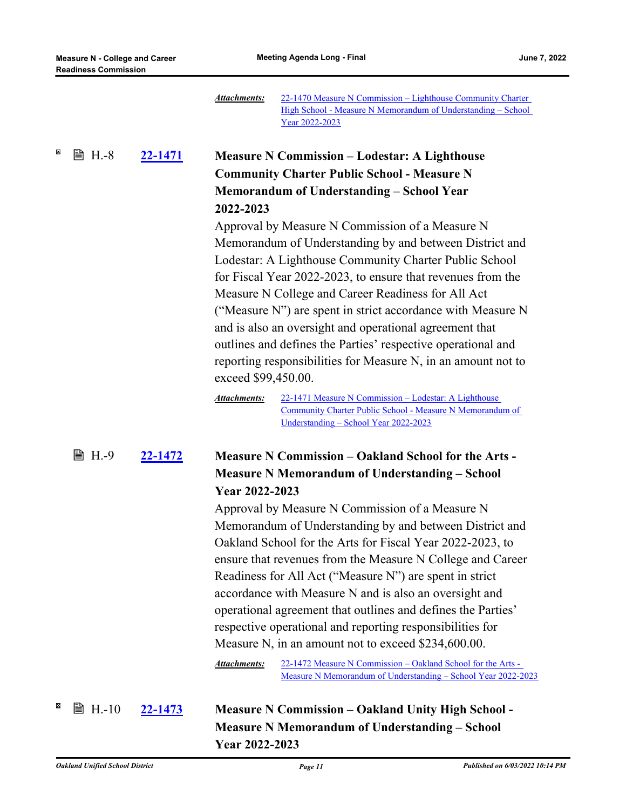|                    |                | 22-1470 Measure N Commission - Lighthouse Community Charter<br><b>Attachments:</b><br>High School - Measure N Memorandum of Understanding - School<br>Year 2022-2023                                                                                                                                                                                                                                                                                                                                                                                                                                                                                                                                                                                                              |
|--------------------|----------------|-----------------------------------------------------------------------------------------------------------------------------------------------------------------------------------------------------------------------------------------------------------------------------------------------------------------------------------------------------------------------------------------------------------------------------------------------------------------------------------------------------------------------------------------------------------------------------------------------------------------------------------------------------------------------------------------------------------------------------------------------------------------------------------|
| X<br><b>■ H.-8</b> | <u>22-1471</u> | <b>Measure N Commission – Lodestar: A Lighthouse</b><br><b>Community Charter Public School - Measure N</b><br><b>Memorandum of Understanding - School Year</b><br>2022-2023<br>Approval by Measure N Commission of a Measure N<br>Memorandum of Understanding by and between District and<br>Lodestar: A Lighthouse Community Charter Public School<br>for Fiscal Year 2022-2023, to ensure that revenues from the<br>Measure N College and Career Readiness for All Act<br>("Measure N") are spent in strict accordance with Measure N<br>and is also an oversight and operational agreement that<br>outlines and defines the Parties' respective operational and<br>reporting responsibilities for Measure N, in an amount not to<br>exceed \$99,450.00.                        |
| <b>■ H.-9</b>      | <u>22-1472</u> | <b>Attachments:</b><br>22-1471 Measure N Commission – Lodestar: A Lighthouse<br>Community Charter Public School - Measure N Memorandum of<br>Understanding - School Year 2022-2023<br><b>Measure N Commission – Oakland School for the Arts -</b>                                                                                                                                                                                                                                                                                                                                                                                                                                                                                                                                 |
|                    |                | <b>Measure N Memorandum of Understanding - School</b><br>Year 2022-2023<br>Approval by Measure N Commission of a Measure N<br>Memorandum of Understanding by and between District and<br>Oakland School for the Arts for Fiscal Year 2022-2023, to<br>ensure that revenues from the Measure N College and Career<br>Readiness for All Act ("Measure N") are spent in strict<br>accordance with Measure N and is also an oversight and<br>operational agreement that outlines and defines the Parties'<br>respective operational and reporting responsibilities for<br>Measure N, in an amount not to exceed \$234,600.00.<br><b>Attachments:</b><br>22-1472 Measure N Commission - Oakland School for the Arts -<br>Measure N Memorandum of Understanding - School Year 2022-2023 |
| X<br>A H.-10       | <u>22-1473</u> | <b>Measure N Commission - Oakland Unity High School -</b><br><b>Measure N Memorandum of Understanding - School</b>                                                                                                                                                                                                                                                                                                                                                                                                                                                                                                                                                                                                                                                                |

**Year 2022-2023**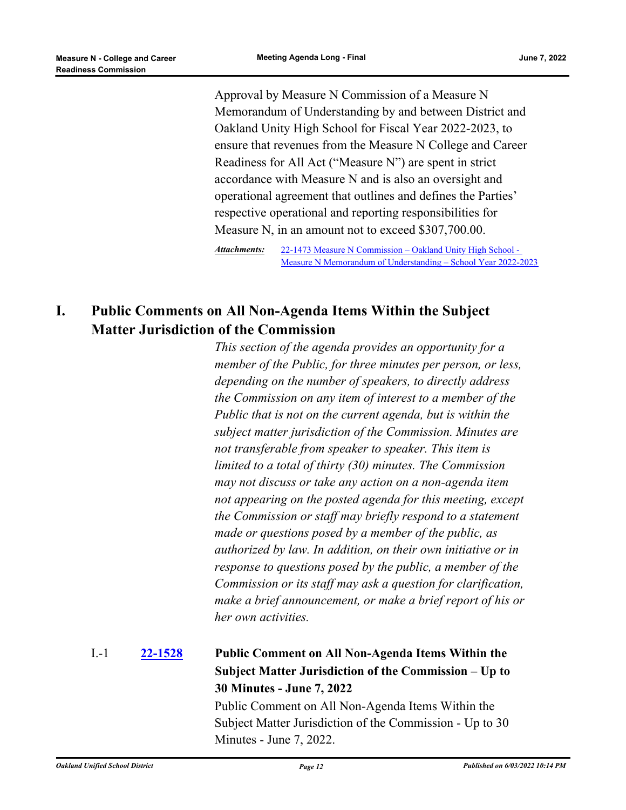Approval by Measure N Commission of a Measure N Memorandum of Understanding by and between District and Oakland Unity High School for Fiscal Year 2022-2023, to ensure that revenues from the Measure N College and Career Readiness for All Act ("Measure N") are spent in strict accordance with Measure N and is also an oversight and operational agreement that outlines and defines the Parties' respective operational and reporting responsibilities for Measure N, in an amount not to exceed \$307,700.00.

22-1473 Measure N Commission – Oakland Unity High School - [Measure N Memorandum of Understanding – School Year 2022-2023](http://ousd.legistar.com/gateway.aspx?M=F&ID=104694.pdf) *Attachments:*

## **I. Public Comments on All Non-Agenda Items Within the Subject Matter Jurisdiction of the Commission**

*This section of the agenda provides an opportunity for a member of the Public, for three minutes per person, or less, depending on the number of speakers, to directly address the Commission on any item of interest to a member of the Public that is not on the current agenda, but is within the subject matter jurisdiction of the Commission. Minutes are not transferable from speaker to speaker. This item is limited to a total of thirty (30) minutes. The Commission may not discuss or take any action on a non-agenda item not appearing on the posted agenda for this meeting, except the Commission or staff may briefly respond to a statement made or questions posed by a member of the public, as authorized by law. In addition, on their own initiative or in response to questions posed by the public, a member of the Commission or its staff may ask a question for clarification, make a brief announcement, or make a brief report of his or her own activities.*

#### **[22-1528](http://ousd.legistar.com/gateway.aspx?m=l&id=/matter.aspx?key=55822) Public Comment on All Non-Agenda Items Within the Subject Matter Jurisdiction of the Commission – Up to 30 Minutes - June 7, 2022** I.-1

Public Comment on All Non-Agenda Items Within the Subject Matter Jurisdiction of the Commission - Up to 30 Minutes - June 7, 2022.